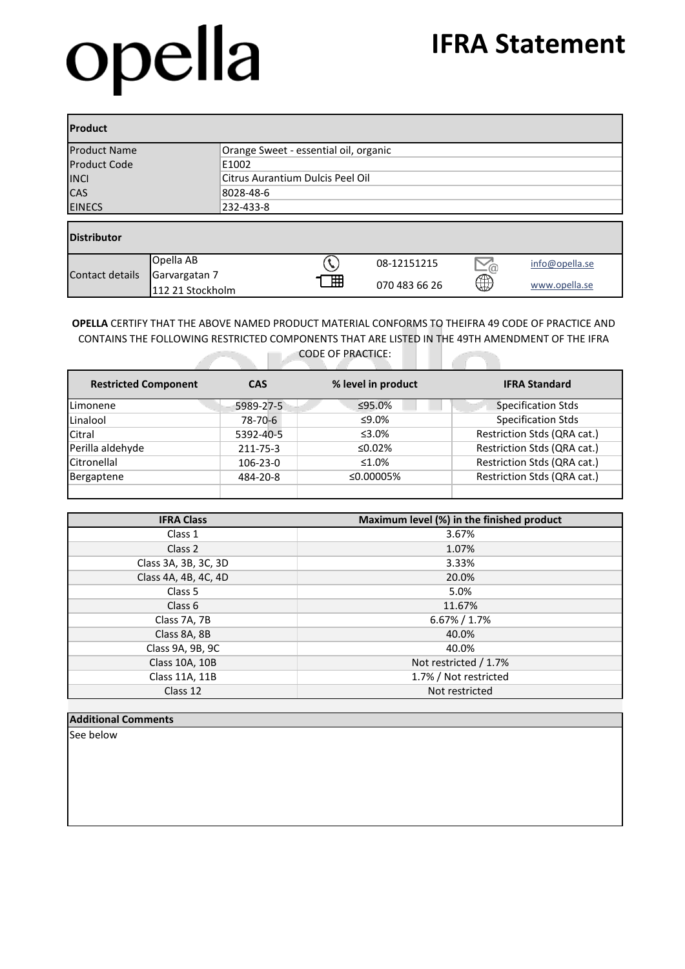# opella

#### **IFRA Statement**

| <b>Product</b>      |                                   |                                       |   |               |                 |                |  |
|---------------------|-----------------------------------|---------------------------------------|---|---------------|-----------------|----------------|--|
| <b>Product Name</b> |                                   | Orange Sweet - essential oil, organic |   |               |                 |                |  |
| <b>Product Code</b> |                                   | E1002                                 |   |               |                 |                |  |
| <b>INCI</b>         |                                   | Citrus Aurantium Dulcis Peel Oil      |   |               |                 |                |  |
| <b>CAS</b>          |                                   | 8028-48-6                             |   |               |                 |                |  |
| <b>EINECS</b>       |                                   | 232-433-8                             |   |               |                 |                |  |
| <b>Distributor</b>  |                                   |                                       |   |               |                 |                |  |
|                     | Opella AB                         |                                       |   | 08-12151215   | $\sum_{\omega}$ | info@opella.se |  |
| Contact details     | Garvargatan 7<br>112 21 Stockholm |                                       | 冊 | 070 483 66 26 | ⊕               | www.opella.se  |  |

**OPELLA** CERTIFY THAT THE ABOVE NAMED PRODUCT MATERIAL CONFORMS TO THEIFRA 49 CODE OF PRACTICE AND CONTAINS THE FOLLOWING RESTRICTED COMPONENTS THAT ARE LISTED IN THE 49TH AMENDMENT OF THE IFRA CODE OF PRACTICE:  $\overline{\phantom{a}}$ 

| <b>Restricted Component</b> | <b>CAS</b> | % level in product | <b>IFRA Standard</b>        |  |
|-----------------------------|------------|--------------------|-----------------------------|--|
| Limonene                    | 5989-27-5  | ≤95.0%             | <b>Specification Stds</b>   |  |
| Linalool                    | 78-70-6    | ≤9.0%              | <b>Specification Stds</b>   |  |
| Citral                      | 5392-40-5  | ≤3.0%              | Restriction Stds (QRA cat.) |  |
| Perilla aldehyde            | 211-75-3   | ≤0.02%             | Restriction Stds (QRA cat.) |  |
| Citronellal                 | 106-23-0   | ≤1.0%              | Restriction Stds (QRA cat.) |  |
| Bergaptene                  | 484-20-8   | ≤0.00005%          | Restriction Stds (QRA cat.) |  |
|                             |            |                    |                             |  |

| <b>IFRA Class</b>    | Maximum level (%) in the finished product |
|----------------------|-------------------------------------------|
| Class 1              | 3.67%                                     |
| Class 2              | 1.07%                                     |
| Class 3A, 3B, 3C, 3D | 3.33%                                     |
| Class 4A, 4B, 4C, 4D | 20.0%                                     |
| Class 5              | 5.0%                                      |
| Class <sub>6</sub>   | 11.67%                                    |
| Class 7A, 7B         | $6.67\% / 1.7\%$                          |
| Class 8A, 8B         | 40.0%                                     |
| Class 9A, 9B, 9C     | 40.0%                                     |
| Class 10A, 10B       | Not restricted / 1.7%                     |
| Class 11A, 11B       | 1.7% / Not restricted                     |
| Class 12             | Not restricted                            |

#### **Additional Comments**

See below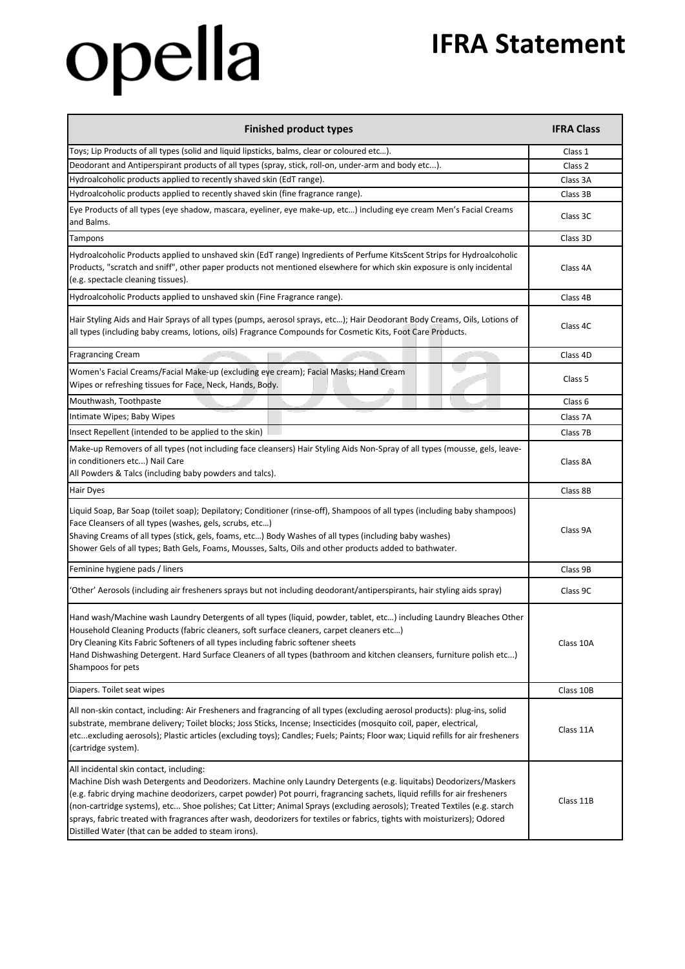## opella

### **IFRA Statement**

| <b>Finished product types</b>                                                                                                                                                                                                                                                                                                                                                                                                                                                                                                                                                                                | <b>IFRA Class</b>  |
|--------------------------------------------------------------------------------------------------------------------------------------------------------------------------------------------------------------------------------------------------------------------------------------------------------------------------------------------------------------------------------------------------------------------------------------------------------------------------------------------------------------------------------------------------------------------------------------------------------------|--------------------|
| Toys; Lip Products of all types (solid and liquid lipsticks, balms, clear or coloured etc).                                                                                                                                                                                                                                                                                                                                                                                                                                                                                                                  | Class 1            |
| Deodorant and Antiperspirant products of all types (spray, stick, roll-on, under-arm and body etc).                                                                                                                                                                                                                                                                                                                                                                                                                                                                                                          | Class 2            |
| Hydroalcoholic products applied to recently shaved skin (EdT range).                                                                                                                                                                                                                                                                                                                                                                                                                                                                                                                                         | Class 3A           |
| Hydroalcoholic products applied to recently shaved skin (fine fragrance range).                                                                                                                                                                                                                                                                                                                                                                                                                                                                                                                              | Class 3B           |
| Eye Products of all types (eye shadow, mascara, eyeliner, eye make-up, etc) including eye cream Men's Facial Creams<br>and Balms.                                                                                                                                                                                                                                                                                                                                                                                                                                                                            | Class 3C           |
| Tampons                                                                                                                                                                                                                                                                                                                                                                                                                                                                                                                                                                                                      | Class 3D           |
| Hydroalcoholic Products applied to unshaved skin (EdT range) Ingredients of Perfume KitsScent Strips for Hydroalcoholic<br>Products, "scratch and sniff", other paper products not mentioned elsewhere for which skin exposure is only incidental<br>(e.g. spectacle cleaning tissues).                                                                                                                                                                                                                                                                                                                      | Class 4A           |
| Hydroalcoholic Products applied to unshaved skin (Fine Fragrance range).                                                                                                                                                                                                                                                                                                                                                                                                                                                                                                                                     | Class 4B           |
| Hair Styling Aids and Hair Sprays of all types (pumps, aerosol sprays, etc); Hair Deodorant Body Creams, Oils, Lotions of<br>all types (including baby creams, lotions, oils) Fragrance Compounds for Cosmetic Kits, Foot Care Products.                                                                                                                                                                                                                                                                                                                                                                     | Class 4C           |
| <b>Fragrancing Cream</b>                                                                                                                                                                                                                                                                                                                                                                                                                                                                                                                                                                                     | Class 4D           |
| Women's Facial Creams/Facial Make-up (excluding eye cream); Facial Masks; Hand Cream<br>Wipes or refreshing tissues for Face, Neck, Hands, Body.                                                                                                                                                                                                                                                                                                                                                                                                                                                             | Class <sub>5</sub> |
| Mouthwash, Toothpaste                                                                                                                                                                                                                                                                                                                                                                                                                                                                                                                                                                                        | Class 6            |
| Intimate Wipes; Baby Wipes                                                                                                                                                                                                                                                                                                                                                                                                                                                                                                                                                                                   | Class 7A           |
| Insect Repellent (intended to be applied to the skin)                                                                                                                                                                                                                                                                                                                                                                                                                                                                                                                                                        | Class 7B           |
| Make-up Removers of all types (not including face cleansers) Hair Styling Aids Non-Spray of all types (mousse, gels, leave-<br>in conditioners etc) Nail Care<br>All Powders & Talcs (including baby powders and talcs).                                                                                                                                                                                                                                                                                                                                                                                     | Class 8A           |
| Hair Dyes                                                                                                                                                                                                                                                                                                                                                                                                                                                                                                                                                                                                    | Class 8B           |
| Liquid Soap, Bar Soap (toilet soap); Depilatory; Conditioner (rinse-off), Shampoos of all types (including baby shampoos)<br>Face Cleansers of all types (washes, gels, scrubs, etc)<br>Shaving Creams of all types (stick, gels, foams, etc) Body Washes of all types (including baby washes)<br>Shower Gels of all types; Bath Gels, Foams, Mousses, Salts, Oils and other products added to bathwater.                                                                                                                                                                                                    | Class 9A           |
| Feminine hygiene pads / liners                                                                                                                                                                                                                                                                                                                                                                                                                                                                                                                                                                               | Class 9B           |
| 'Other' Aerosols (including air fresheners sprays but not including deodorant/antiperspirants, hair styling aids spray)                                                                                                                                                                                                                                                                                                                                                                                                                                                                                      | Class 9C           |
| Hand wash/Machine wash Laundry Detergents of all types (liquid, powder, tablet, etc) including Laundry Bleaches Other<br>Household Cleaning Products (fabric cleaners, soft surface cleaners, carpet cleaners etc)<br>Dry Cleaning Kits Fabric Softeners of all types including fabric softener sheets<br>Hand Dishwashing Detergent. Hard Surface Cleaners of all types (bathroom and kitchen cleansers, furniture polish etc)<br>Shampoos for pets                                                                                                                                                         | Class 10A          |
| Diapers. Toilet seat wipes                                                                                                                                                                                                                                                                                                                                                                                                                                                                                                                                                                                   | Class 10B          |
| All non-skin contact, including: Air Fresheners and fragrancing of all types (excluding aerosol products): plug-ins, solid<br>substrate, membrane delivery; Toilet blocks; Joss Sticks, Incense; Insecticides (mosquito coil, paper, electrical,<br>etcexcluding aerosols); Plastic articles (excluding toys); Candles; Fuels; Paints; Floor wax; Liquid refills for air fresheners<br>(cartridge system).                                                                                                                                                                                                   | Class 11A          |
| All incidental skin contact, including:<br>Machine Dish wash Detergents and Deodorizers. Machine only Laundry Detergents (e.g. liquitabs) Deodorizers/Maskers<br>(e.g. fabric drying machine deodorizers, carpet powder) Pot pourri, fragrancing sachets, liquid refills for air fresheners<br>(non-cartridge systems), etc Shoe polishes; Cat Litter; Animal Sprays (excluding aerosols); Treated Textiles (e.g. starch<br>sprays, fabric treated with fragrances after wash, deodorizers for textiles or fabrics, tights with moisturizers); Odored<br>Distilled Water (that can be added to steam irons). | Class 11B          |